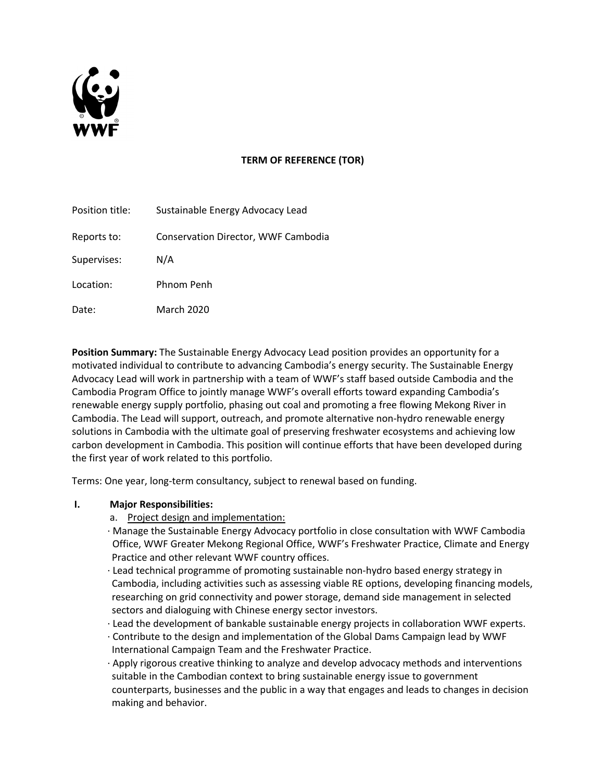

# **TERM OF REFERENCE (TOR)**

| Position title: | Sustainable Energy Advocacy Lead    |
|-----------------|-------------------------------------|
| Reports to:     | Conservation Director, WWF Cambodia |
| Supervises:     | N/A                                 |
| Location:       | Phnom Penh                          |
| Date:           | <b>March 2020</b>                   |

**Position Summary:** The Sustainable Energy Advocacy Lead position provides an opportunity for a motivated individual to contribute to advancing Cambodia's energy security. The Sustainable Energy Advocacy Lead will work in partnership with a team of WWF's staff based outside Cambodia and the Cambodia Program Office to jointly manage WWF's overall efforts toward expanding Cambodia's renewable energy supply portfolio, phasing out coal and promoting a free flowing Mekong River in Cambodia. The Lead will support, outreach, and promote alternative non-hydro renewable energy solutions in Cambodia with the ultimate goal of preserving freshwater ecosystems and achieving low carbon development in Cambodia. This position will continue efforts that have been developed during the first year of work related to this portfolio.

Terms: One year, long-term consultancy, subject to renewal based on funding.

# **I. Major Responsibilities:**

- a. Project design and implementation:
- · Manage the Sustainable Energy Advocacy portfolio in close consultation with WWF Cambodia Office, WWF Greater Mekong Regional Office, WWF's Freshwater Practice, Climate and Energy Practice and other relevant WWF country offices.
- · Lead technical programme of promoting sustainable non-hydro based energy strategy in Cambodia, including activities such as assessing viable RE options, developing financing models, researching on grid connectivity and power storage, demand side management in selected sectors and dialoguing with Chinese energy sector investors.
- · Lead the development of bankable sustainable energy projects in collaboration WWF experts.
- · Contribute to the design and implementation of the Global Dams Campaign lead by WWF International Campaign Team and the Freshwater Practice.
- · Apply rigorous creative thinking to analyze and develop advocacy methods and interventions suitable in the Cambodian context to bring sustainable energy issue to government counterparts, businesses and the public in a way that engages and leads to changes in decision making and behavior.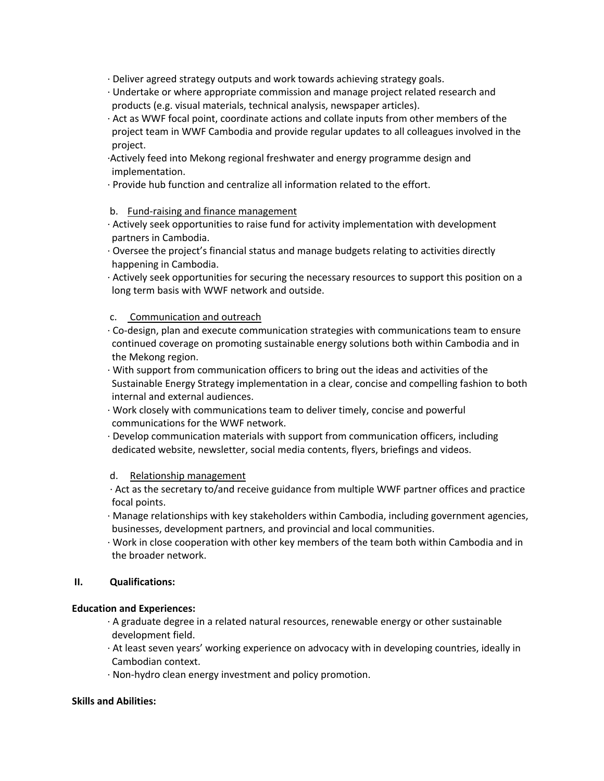- · Deliver agreed strategy outputs and work towards achieving strategy goals.
- · Undertake or where appropriate commission and manage project related research and products (e.g. visual materials, technical analysis, newspaper articles).
- · Act as WWF focal point, coordinate actions and collate inputs from other members of the project team in WWF Cambodia and provide regular updates to all colleagues involved in the project.
- ·Actively feed into Mekong regional freshwater and energy programme design and implementation.
- · Provide hub function and centralize all information related to the effort.

## b. Fund-raising and finance management

- · Actively seek opportunities to raise fund for activity implementation with development partners in Cambodia.
- · Oversee the project's financial status and manage budgets relating to activities directly happening in Cambodia.
- · Actively seek opportunities for securing the necessary resources to support this position on a long term basis with WWF network and outside.

## c. Communication and outreach

- · Co-design, plan and execute communication strategies with communications team to ensure continued coverage on promoting sustainable energy solutions both within Cambodia and in the Mekong region.
- · With support from communication officers to bring out the ideas and activities of the Sustainable Energy Strategy implementation in a clear, concise and compelling fashion to both internal and external audiences.
- · Work closely with communications team to deliver timely, concise and powerful communications for the WWF network.
- · Develop communication materials with support from communication officers, including dedicated website, newsletter, social media contents, flyers, briefings and videos.

## d. Relationship management

- · Act as the secretary to/and receive guidance from multiple WWF partner offices and practice focal points.
- · Manage relationships with key stakeholders within Cambodia, including government agencies, businesses, development partners, and provincial and local communities.
- · Work in close cooperation with other key members of the team both within Cambodia and in the broader network.

## **II. Qualifications:**

## **Education and Experiences:**

- · A graduate degree in a related natural resources, renewable energy or other sustainable development field.
- · At least seven years' working experience on advocacy with in developing countries, ideally in Cambodian context.
- · Non-hydro clean energy investment and policy promotion.

### **Skills and Abilities:**